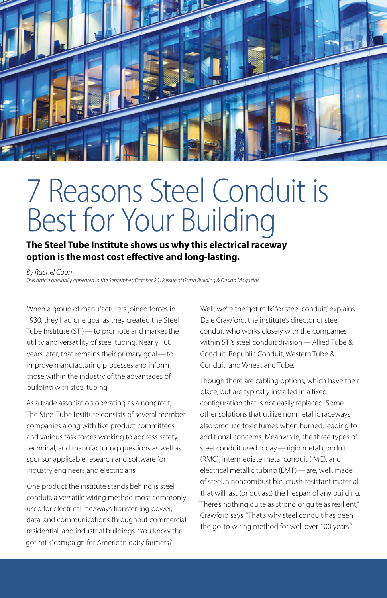

# 7 Reasons Steel Conduit is Best for Your Building

### **The Steel Tube Institute shows us why this electrical raceway option is the most cost effective and long-lasting.**

*By Rachel Coon This article originally appeared in the September/October 2018 issue of Green Building & Design Magazine.*

When a group of manufacturers joined forces in 1930, they had one goal as they created the Steel Tube Institute (STI)—to promote and market the utility and versatility of steel tubing. Nearly 100 years later, that remains their primary goal—to improve manufacturing processes and inform those within the industry of the advantages of building with steel tubing.

As a trade association operating as a nonprofit, The Steel Tube Institute consists of several member companies along with five product committees and various task forces working to address safety, technical, and manufacturing questions as well as sponsor applicable research and software for industry engineers and electricians.

One product the institute stands behind is steel conduit, a versatile wiring method most commonly used for electrical raceways transferring power, data, and communications throughout commercial, residential, and industrial buildings. "You know the 'got milk' campaign for American dairy farmers?

Well, we're the 'got milk' for steel conduit," explains Dale Crawford, the institute's director of steel conduit who works closely with the companies within STI's steel conduit division—Allied Tube & Conduit, Republic Conduit, Western Tube & Conduit, and Wheatland Tube.

Though there are cabling options, which have their place, but are typically installed in a fixed configuration that is not easily replaced. Some other solutions that utilize nonmetallic raceways also produce toxic fumes when burned, leading to additional concerns. Meanwhile, the three types of steel conduit used today—rigid metal conduit (RMC), intermediate metal conduit (IMC), and electrical metallic tubing (EMT)—are, well, made of steel, a noncombustible, crush-resistant material that will last (or outlast) the lifespan of any building. "There's nothing quite as strong or quite as resilient," Crawford says. "That's why steel conduit has been the go-to wiring method for well over 100 years."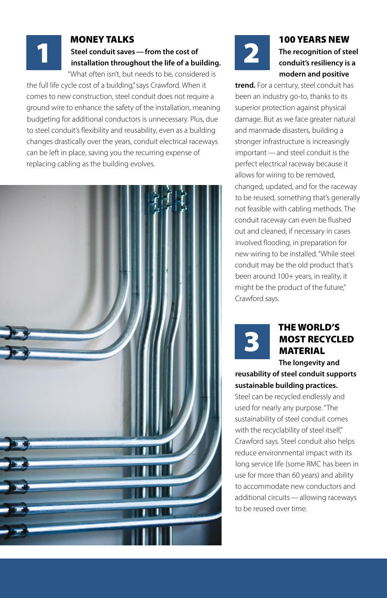#### MONEY TALKS **Steel conduit saves—from the cost of installation throughout the life of a building.**

"What often isn't, but needs to be, considered is the full life cycle cost of a building," says Crawford. When it comes to new construction, steel conduit does not require a ground wire to enhance the safety of the installation, meaning budgeting for additional conductors is unnecessary. Plus, due to steel conduit's flexibility and reusability, even as a building changes drastically over the years, conduit electrical raceways can be left in place, saving you the recurring expense of replacing cabling as the building evolves.

1





#### 100 YEARS NEW **The recognition of steel conduit's resiliency is a modern and positive**

**trend.** For a century, steel conduit has been an industry go-to, thanks to its superior protection against physical damage. But as we face greater natural and manmade disasters, building a stronger infrastructure is increasingly important—and steel conduit is the perfect electrical raceway because it allows for wiring to be removed, changed, updated, and for the raceway to be reused, something that's generally not feasible with cabling methods. The conduit raceway can even be flushed out and cleaned, if necessary in cases involved flooding, in preparation for new wiring to be installed. "While steel conduit may be the old product that's been around 100+ years, in reality, it might be the product of the future," Crawford says.



# THE WORLD'S MOST RECYCLED MATERIAL

#### **The longevity and reusability of steel conduit supports sustainable building practices.**

Steel can be recycled endlessly and used for nearly any purpose. "The sustainability of steel conduit comes with the recyclability of steel itself," Crawford says. Steel conduit also helps reduce environmental impact with its long service life (some RMC has been in use for more than 60 years) and ability to accommodate new conductors and additional circuits—allowing raceways to be reused over time.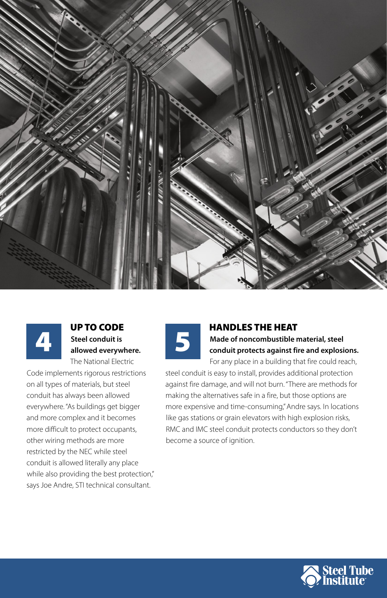



#### UP TO CODE **Steel conduit is allowed everywhere.** The National Electric

Code implements rigorous restrictions on all types of materials, but steel conduit has always been allowed everywhere. "As buildings get bigger and more complex and it becomes more difficult to protect occupants, other wiring methods are more restricted by the NEC while steel conduit is allowed literally any place while also providing the best protection," says Joe Andre, STI technical consultant.



# HANDLES THE HEAT

**Made of noncombustible material, steel conduit protects against fire and explosions.** For any place in a building that fire could reach,

steel conduit is easy to install, provides additional protection against fire damage, and will not burn. "There are methods for making the alternatives safe in a fire, but those options are more expensive and time-consuming," Andre says. In locations like gas stations or grain elevators with high explosion risks, RMC and IMC steel conduit protects conductors so they don't become a source of ignition.